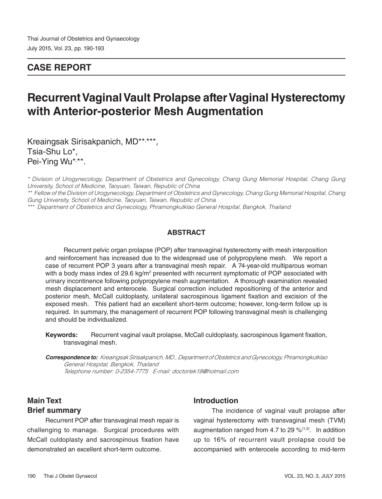## **CASE REPORT**

# **Recurrent Vaginal Vault Prolapse after Vaginal Hysterectomy with Anterior-posterior Mesh Augmentation**

Kreaingsak Sirisakpanich, MD\*\*, \*\*\*, Tsia-Shu Lo\*, Pei-Ying Wu\*,\*\*.

*\* Division of Urogynecology, Department of Obstetrics and Gynecology, Chang Gung Memorial Hospital, Chang Gung University, School of Medicine, Taoyuan, Taiwan, Republic of China*

*\*\* Fellow of the Division of Urogynecology, Department of Obstetrics and Gynecology, Chang Gung Memorial Hospital, Chang Gung University, School of Medicine, Taoyuan, Taiwan, Republic of China*

*\*\*\* Department of Obstetrics and Gynecology, Phramongkutklao General Hospital, Bangkok, Thailand* 

#### **ABSTRACT**

Recurrent pelvic organ prolapse (POP) after transvaginal hysterectomy with mesh interposition and reinforcement has increased due to the widespread use of polypropylene mesh. We report a case of recurrent POP 3 years after a transvaginal mesh repair. A 74-year-old multiparous woman with a body mass index of 29.6 kg/m<sup>2</sup> presented with recurrent symptomatic of POP associated with urinary incontinence following polypropylene mesh augmentation. A thorough examination revealed mesh displacement and enterocele. Surgical correction included repositioning of the anterior and posterior mesh, McCall culdoplasty, unilateral sacrospinous ligament fixation and excision of the exposed mesh. This patient had an excellent short-term outcome; however, long-term follow up is required. In summary, the management of recurrent POP following transvaginal mesh is challenging and should be individualized.

**Keywords:** Recurrent vaginal vault prolapse, McCall culdoplasty, sacrospinous ligament fixation, transvaginal mesh.

**Correspondence to:** *Kreaingsak Sirisakpanich, MD., Department of Obstetrics and Gynecology, Phramongkutklao General Hospital, Bangkok, Thailand Telephone number: 0-2354-7775 E-mail: doctorlek18@hotmail.com*

### **Main Text Brief summary**

Recurrent POP after transvaginal mesh repair is challenging to manage. Surgical procedures with McCall culdoplasty and sacrospinous fixation have demonstrated an excellent short-term outcome.

#### **Introduction**

The incidence of vaginal vault prolapse after vaginal hysterectomy with transvaginal mesh (TVM) augmentation ranged from 4.7 to 29  $\frac{\%}{1,2}$ . In addition up to 16% of recurrent vault prolapse could be accompanied with enterocele according to mid-term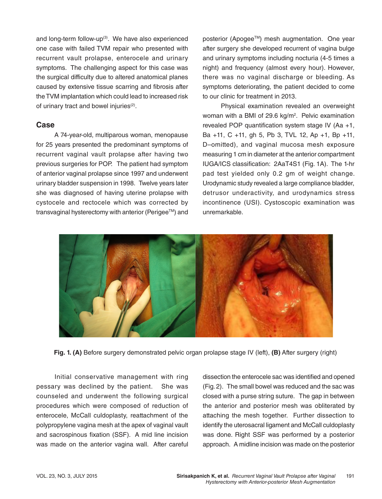and long-term follow-up<sup>(3)</sup>. We have also experienced one case with failed TVM repair who presented with recurrent vault prolapse, enterocele and urinary symptoms. The challenging aspect for this case was the surgical difficulty due to altered anatomical planes caused by extensive tissue scarring and fibrosis after the TVM implantation which could lead to increased risk of urinary tract and bowel injuries<sup>(2)</sup>.

#### **Case**

A 74-year-old, multiparous woman, menopause for 25 years presented the predominant symptoms of recurrent vaginal vault prolapse after having two previous surgeries for POP. The patient had symptom of anterior vaginal prolapse since 1997 and underwent urinary bladder suspension in 1998. Twelve years later she was diagnosed of having uterine prolapse with cystocele and rectocele which was corrected by transvaginal hysterectomy with anterior (Perigee™) and posterior (Apogee™) mesh augmentation. One year after surgery she developed recurrent of vagina bulge and urinary symptoms including nocturia (4-5 times a night) and frequency (almost every hour). However, there was no vaginal discharge or bleeding. As symptoms deteriorating, the patient decided to come to our clinic for treatment in 2013.

Physical examination revealed an overweight woman with a BMI of 29.6 kg/m<sup>2</sup>. Pelvic examination revealed POP quantification system stage IV (Aa +1, Ba +11, C +11, gh 5, Pb 3, TVL 12, Ap +1, Bp +11, D–omitted), and vaginal mucosa mesh exposure measuring 1 cm in diameter at the anterior compartment IUGA/ICS classification: 2AaT4S1 (Fig. 1A). The 1-hr pad test yielded only 0.2 gm of weight change. Urodynamic study revealed a large compliance bladder, detrusor underactivity, and urodynamics stress incontinence (USI). Cystoscopic examination was unremarkable.



**Fig. 1. (A)** Before surgery demonstrated pelvic organ prolapse stage IV (left), **(B)** After surgery (right)

Initial conservative management with ring pessary was declined by the patient. She was counseled and underwent the following surgical procedures which were composed of reduction of enterocele, McCall culdoplasty, reattachment of the polypropylene vagina mesh at the apex of vaginal vault and sacrospinous fixation (SSF). A mid line incision was made on the anterior vagina wall. After careful dissection the enterocele sac was identified and opened (Fig. 2). The small bowel was reduced and the sac was closed with a purse string suture. The gap in between the anterior and posterior mesh was obliterated by attaching the mesh together. Further dissection to identify the uterosacral ligament and McCall culdoplasty was done. Right SSF was performed by a posterior approach. A midline incision was made on the posterior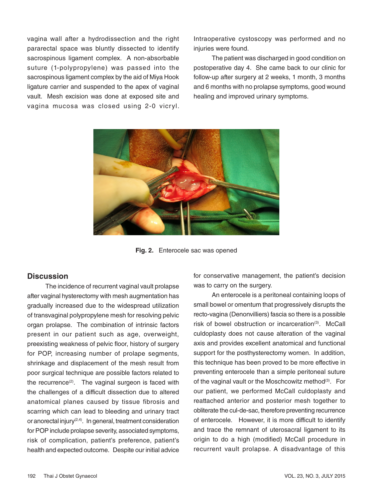vagina wall after a hydrodissection and the right pararectal space was bluntly dissected to identify sacrospinous ligament complex. A non-absorbable suture (1-polypropylene) was passed into the sacrospinous ligament complex by the aid of Miya Hook ligature carrier and suspended to the apex of vaginal vault. Mesh excision was done at exposed site and vagina mucosa was closed using 2-0 vicryl.

Intraoperative cystoscopy was performed and no injuries were found.

The patient was discharged in good condition on postoperative day 4. She came back to our clinic for follow-up after surgery at 2 weeks, 1 month, 3 months and 6 months with no prolapse symptoms, good wound healing and improved urinary symptoms.



**Fig. 2.** Enterocele sac was opened

#### **Discussion**

The incidence of recurrent vaginal vault prolapse after vaginal hysterectomy with mesh augmentation has gradually increased due to the widespread utilization of transvaginal polypropylene mesh for resolving pelvic organ prolapse. The combination of intrinsic factors present in our patient such as age, overweight, preexisting weakness of pelvic floor, history of surgery for POP, increasing number of prolape segments, shrinkage and displacement of the mesh result from poor surgical technique are possible factors related to the recurrence<sup>(2)</sup>. The vaginal surgeon is faced with the challenges of a difficult dissection due to altered anatomical planes caused by tissue fibrosis and scarring which can lead to bleeding and urinary tract or anorectal injury(2,4). In general, treatment consideration for POP include prolapse severity, associated symptoms, risk of complication, patient's preference, patient's health and expected outcome. Despite our initial advice

for conservative management, the patient's decision was to carry on the surgery.

An enterocele is a peritoneal containing loops of small bowel or omentum that progressively disrupts the recto-vagina (Denonvilliers) fascia so there is a possible risk of bowel obstruction or incarceration<sup>(3)</sup>. McCall culdoplasty does not cause alteration of the vaginal axis and provides excellent anatomical and functional support for the posthysterectomy women. In addition, this technique has been proved to be more effective in preventing enterocele than a simple peritoneal suture of the vaginal vault or the Moschcowitz method<sup>(3)</sup>. For our patient, we performed McCall culdoplasty and reattached anterior and posterior mesh together to obliterate the cul-de-sac, therefore preventing recurrence of enterocele. However, it is more difficult to identify and trace the remnant of uterosacral ligament to its origin to do a high (modified) McCall procedure in recurrent vault prolapse. A disadvantage of this